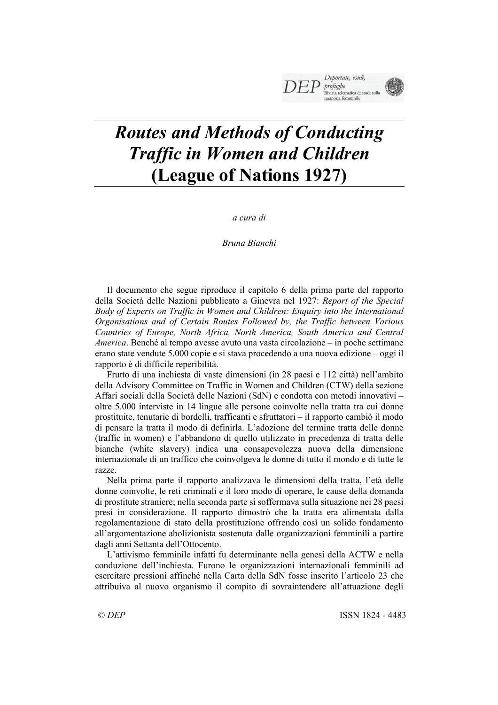# *Routes and Methods of Conducting Traffic in Women and Children* **(League of Nations 1927)**

*a cura di*

*Bruna Bianchi*

Il documento che segue riproduce il capitolo 6 della prima parte del rapporto della Società delle Nazioni pubblicato a Ginevra nel 1927: *Report of the Special Body of Experts on Traffic in Women and Children: Enquiry into the International Organisations and of Certain Routes Followed by, the Traffic between Various Countries of Europe, North Africa, North America, South America and Central America*. Benché al tempo avesse avuto una vasta circolazione – in poche settimane erano state vendute 5.000 copie e si stava procedendo a una nuova edizione – oggi il rapporto è di difficile reperibilità.

Frutto di una inchiesta di vaste dimensioni (in 28 paesi e 112 città) nell'ambito della Advisory Committee on Traffic in Women and Children (CTW) della sezione Affari sociali della Società delle Nazioni (SdN) e condotta con metodi innovativi – oltre 5.000 interviste in 14 lingue alle persone coinvolte nella tratta tra cui donne prostituite, tenutarie di bordelli, trafficanti e sfruttatori – il rapporto cambiò il modo di pensare la tratta il modo di definirla. L'adozione del termine tratta delle donne (traffic in women) e l'abbandono di quello utilizzato in precedenza di tratta delle bianche (white slavery) indica una consapevolezza nuova della dimensione internazionale di un traffico che coinvolgeva le donne di tutto il mondo e di tutte le razze.

Nella prima parte il rapporto analizzava le dimensioni della tratta, l'età delle donne coinvolte, le reti criminali e il loro modo di operare, le cause della domanda di prostitute straniere; nella seconda parte si soffermava sulla situazione nei 28 paesi presi in considerazione. Il rapporto dimostrò che la tratta era alimentata dalla regolamentazione di stato della prostituzione offrendo così un solido fondamento all'argomentazione abolizionista sostenuta dalle organizzazioni femminili a partire dagli anni Settanta dell'Ottocento.

L'attivismo femminile infatti fu determinante nella genesi della ACTW e nella conduzione dell'inchiesta. Furono le organizzazioni internazionali femminili ad esercitare pressioni affinché nella Carta della SdN fosse inserito l'articolo 23 che attribuiva al nuovo organismo il compito di sovraintendere all'attuazione degli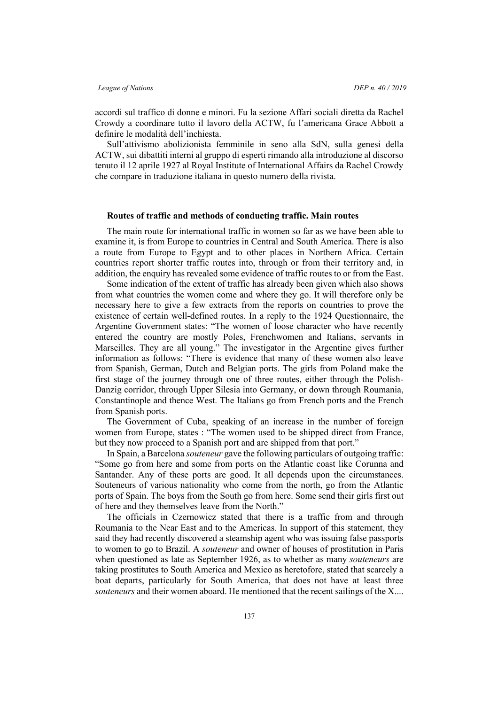accordi sul traffico di donne e minori. Fu la sezione Affari sociali diretta da Rachel Crowdy a coordinare tutto il lavoro della ACTW, fu l'americana Grace Abbott a definire le modalità dell'inchiesta.

Sull'attivismo abolizionista femminile in seno alla SdN, sulla genesi della ACTW, sui dibattiti interni al gruppo di esperti rimando alla introduzione al discorso tenuto il 12 aprile 1927 al Royal Institute of International Affairs da Rachel Crowdy che compare in traduzione italiana in questo numero della rivista.

### **Routes of traffic and methods of conducting traffic. Main routes**

The main route for international traffic in women so far as we have been able to examine it, is from Europe to countries in Central and South America. There is also a route from Europe to Egypt and to other places in Northern Africa. Certain countries report shorter traffic routes into, through or from their territory and, in addition, the enquiry has revealed some evidence of traffic routes to or from the East.

Some indication of the extent of traffic has already been given which also shows from what countries the women come and where they go. It will therefore only be necessary here to give a few extracts from the reports on countries to prove the existence of certain well-defined routes. In a reply to the 1924 Questionnaire, the Argentine Government states: "The women of loose character who have recently entered the country are mostly Poles, Frenchwomen and Italians, servants in Marseilles. They are all young." The investigator in the Argentine gives further information as follows: "There is evidence that many of these women also leave from Spanish, German, Dutch and Belgian ports. The girls from Poland make the first stage of the journey through one of three routes, either through the Polish-Danzig corridor, through Upper Silesia into Germany, or down through Roumania, Constantinople and thence West. The Italians go from French ports and the French from Spanish ports.

The Government of Cuba, speaking of an increase in the number of foreign women from Europe, states : "The women used to be shipped direct from France, but they now proceed to a Spanish port and are shipped from that port."

In Spain, a Barcelona *souteneur* gave the following particulars of outgoing traffic: "Some go from here and some from ports on the Atlantic coast like Corunna and Santander. Any of these ports are good. It all depends upon the circumstances. Souteneurs of various nationality who come from the north, go from the Atlantic ports of Spain. The boys from the South go from here. Some send their girls first out of here and they themselves leave from the North."

The officials in Czernowicz stated that there is a traffic from and through Roumania to the Near East and to the Americas. In support of this statement, they said they had recently discovered a steamship agent who was issuing false passports to women to go to Brazil. A *souteneur* and owner of houses of prostitution in Paris when questioned as late as September 1926, as to whether as many *souteneurs* are taking prostitutes to South America and Mexico as heretofore, stated that scarcely a boat departs, particularly for South America, that does not have at least three *souteneurs* and their women aboard. He mentioned that the recent sailings of the X....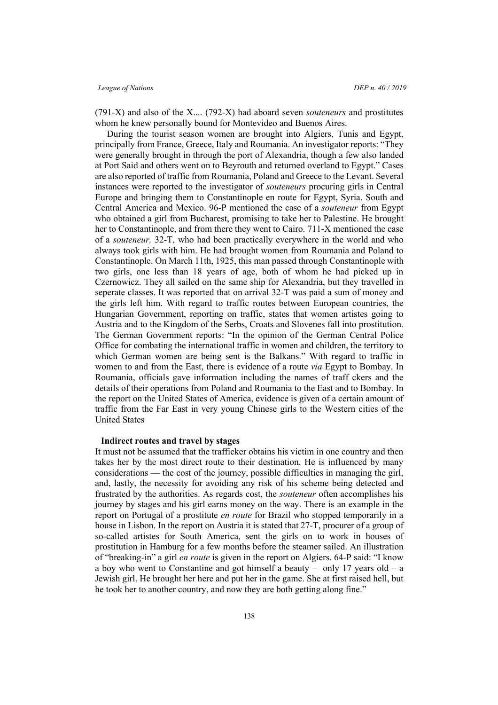(791-X) and also of the X.... (792-X) had aboard seven *souteneurs* and prostitutes whom he knew personally bound for Montevideo and Buenos Aires.

During the tourist season women are brought into Algiers, Tunis and Egypt, principally from France, Greece, Italy and Roumania. An investigator reports: "They were generally brought in through the port of Alexandria, though a few also landed at Port Said and others went on to Beyrouth and returned overland to Egypt." Cases are also reported of traffic from Roumania, Poland and Greece to the Levant. Several instances were reported to the investigator of *souteneurs* procuring girls in Central Europe and bringing them to Constantinople en route for Egypt, Syria. South and Central America and Mexico. 96-P mentioned the case of a *souteneur* from Egypt who obtained a girl from Bucharest, promising to take her to Palestine. He brought her to Constantinople, and from there they went to Cairo. 711-X mentioned the case of a *souteneur,* 32-T, who had been practically everywhere in the world and who always took girls with him. He had brought women from Roumania and Poland to Constantinople. On March 11th, 1925, this man passed through Constantinople with two girls, one less than 18 years of age, both of whom he had picked up in Czernowicz. They all sailed on the same ship for Alexandria, but they travelled in seperate classes. It was reported that on arrival 32-T was paid a sum of money and the girls left him. With regard to traffic routes between European countries, the Hungarian Government, reporting on traffic, states that women artistes going to Austria and to the Kingdom of the Serbs, Croats and Slovenes fall into prostitution. The German Government reports: "In the opinion of the German Central Police Office for combating the international traffic in women and children, the territory to which German women are being sent is the Balkans." With regard to traffic in women to and from the East, there is evidence of a route *via* Egypt to Bombay. In Roumania, officials gave information including the names of traff ckers and the details of their operations from Poland and Roumania to the East and to Bombay. In the report on the United States of America, evidence is given of a certain amount of traffic from the Far East in very young Chinese girls to the Western cities of the United States

#### **Indirect routes and travel by stages**

It must not be assumed that the trafficker obtains his victim in one country and then takes her by the most direct route to their destination. He is influenced by many considerations — the cost of the journey, possible difficulties in managing the girl, and, lastly, the necessity for avoiding any risk of his scheme being detected and frustrated by the authorities. As regards cost, the *souteneur* often accomplishes his journey by stages and his girl earns money on the way. There is an example in the report on Portugal of a prostitute *en route* for Brazil who stopped temporarily in a house in Lisbon. In the report on Austria it is stated that 27-T, procurer of a group of so-called artistes for South America, sent the girls on to work in houses of prostitution in Hamburg for a few months before the steamer sailed. An illustration of "breaking-in" a girl *en route* is given in the report on Algiers. 64-P said: "I know a boy who went to Constantine and got himself a beauty – only 17 years old – a Jewish girl. He brought her here and put her in the game. She at first raised hell, but he took her to another country, and now they are both getting along fine."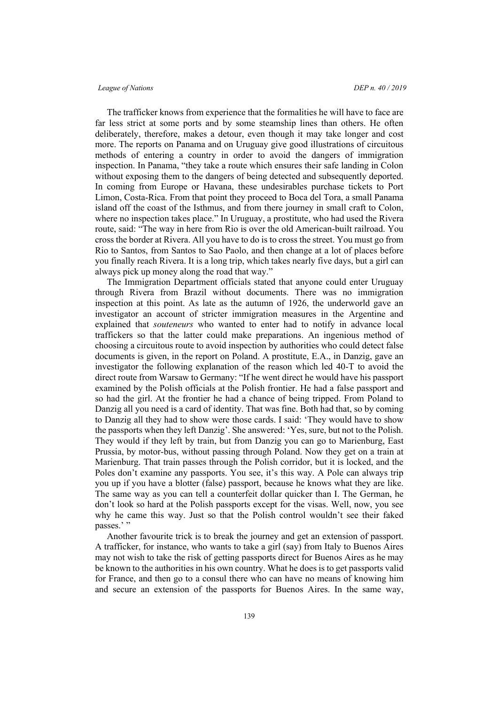The trafficker knows from experience that the formalities he will have to face are far less strict at some ports and by some steamship lines than others. He often deliberately, therefore, makes a detour, even though it may take longer and cost more. The reports on Panama and on Uruguay give good illustrations of circuitous methods of entering a country in order to avoid the dangers of immigration inspection. In Panama, "they take a route which ensures their safe landing in Colon without exposing them to the dangers of being detected and subsequently deported. In coming from Europe or Havana, these undesirables purchase tickets to Port Limon, Costa-Rica. From that point they proceed to Boca del Tora, a small Panama island off the coast of the Isthmus, and from there journey in small craft to Colon, where no inspection takes place." In Uruguay, a prostitute, who had used the Rivera route, said: "The way in here from Rio is over the old American-built railroad. You cross the border at Rivera. All you have to do is to cross the street. You must go from Rio to Santos, from Santos to Sao Paolo, and then change at a lot of places before you finally reach Rivera. It is a long trip, which takes nearly five days, but a girl can always pick up money along the road that way."

The Immigration Department officials stated that anyone could enter Uruguay through Rivera from Brazil without documents. There was no immigration inspection at this point. As late as the autumn of 1926, the underworld gave an investigator an account of stricter immigration measures in the Argentine and explained that *souteneurs* who wanted to enter had to notify in advance local traffickers so that the latter could make preparations. An ingenious method of choosing a circuitous route to avoid inspection by authorities who could detect false documents is given, in the report on Poland. A prostitute, E.A., in Danzig, gave an investigator the following explanation of the reason which led 40-T to avoid the direct route from Warsaw to Germany: "If he went direct he would have his passport examined by the Polish officials at the Polish frontier. He had a false passport and so had the girl. At the frontier he had a chance of being tripped. From Poland to Danzig all you need is a card of identity. That was fine. Both had that, so by coming to Danzig all they had to show were those cards. I said: 'They would have to show the passports when they left Danzig'. She answered: 'Yes, sure, but not to the Polish. They would if they left by train, but from Danzig you can go to Marienburg, East Prussia, by motor-bus, without passing through Poland. Now they get on a train at Marienburg. That train passes through the Polish corridor, but it is locked, and the Poles don't examine any passports. You see, it's this way. A Pole can always trip you up if you have a blotter (false) passport, because he knows what they are like. The same way as you can tell a counterfeit dollar quicker than I. The German, he don't look so hard at the Polish passports except for the visas. Well, now, you see why he came this way. Just so that the Polish control wouldn't see their faked passes.'"

Another favourite trick is to break the journey and get an extension of passport. A trafficker, for instance, who wants to take a girl (say) from Italy to Buenos Aires may not wish to take the risk of getting passports direct for Buenos Aires as he may be known to the authorities in his own country. What he does is to get passports valid for France, and then go to a consul there who can have no means of knowing him and secure an extension of the passports for Buenos Aires. In the same way,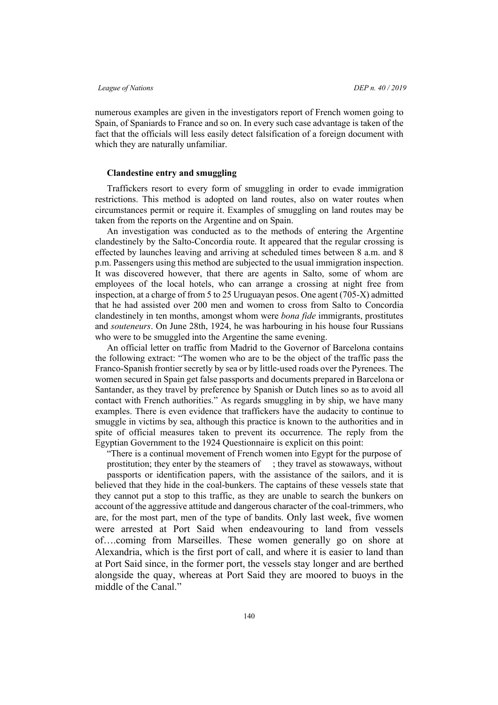numerous examples are given in the investigators report of French women going to Spain, of Spaniards to France and so on. In every such case advantage is taken of the fact that the officials will less easily detect falsification of a foreign document with which they are naturally unfamiliar.

### **Clandestine entry and smuggling**

Traffickers resort to every form of smuggling in order to evade immigration restrictions. This method is adopted on land routes, also on water routes when circumstances permit or require it. Examples of smuggling on land routes may be taken from the reports on the Argentine and on Spain.

An investigation was conducted as to the methods of entering the Argentine clandestinely by the Salto-Concordia route. It appeared that the regular crossing is effected by launches leaving and arriving at scheduled times between 8 a.m. and 8 p.m. Passengers using this method are subjected to the usual immigration inspection. It was discovered however, that there are agents in Salto, some of whom are employees of the local hotels, who can arrange a crossing at night free from inspection, at a charge of from 5 to 25 Uruguayan pesos. One agent (705-X) admitted that he had assisted over 200 men and women to cross from Salto to Concordia clandestinely in ten months, amongst whom were *bona fide* immigrants, prostitutes and *souteneurs*. On June 28th, 1924, he was harbouring in his house four Russians who were to be smuggled into the Argentine the same evening.

An official letter on traffic from Madrid to the Governor of Barcelona contains the following extract: "The women who are to be the object of the traffic pass the Franco-Spanish frontier secretly by sea or by little-used roads over the Pyrenees. The women secured in Spain get false passports and documents prepared in Barcelona or Santander, as they travel by preference by Spanish or Dutch lines so as to avoid all contact with French authorities." As regards smuggling in by ship, we have many examples. There is even evidence that traffickers have the audacity to continue to smuggle in victims by sea, although this practice is known to the authorities and in spite of official measures taken to prevent its occurrence. The reply from the Egyptian Government to the 1924 Questionnaire is explicit on this point:

"There is a continual movement of French women into Egypt for the purpose of prostitution; they enter by the steamers of ; they travel as stowaways, without

passports or identification papers, with the assistance of the sailors, and it is believed that they hide in the coal-bunkers. The captains of these vessels state that they cannot put a stop to this traffic, as they are unable to search the bunkers on account of the aggressive attitude and dangerous character of the coal-trimmers, who are, for the most part, men of the type of bandits. Only last week, five women were arrested at Port Said when endeavouring to land from vessels of….coming from Marseilles. These women generally go on shore at Alexandria, which is the first port of call, and where it is easier to land than at Port Said since, in the former port, the vessels stay longer and are berthed alongside the quay, whereas at Port Said they are moored to buoys in the middle of the Canal."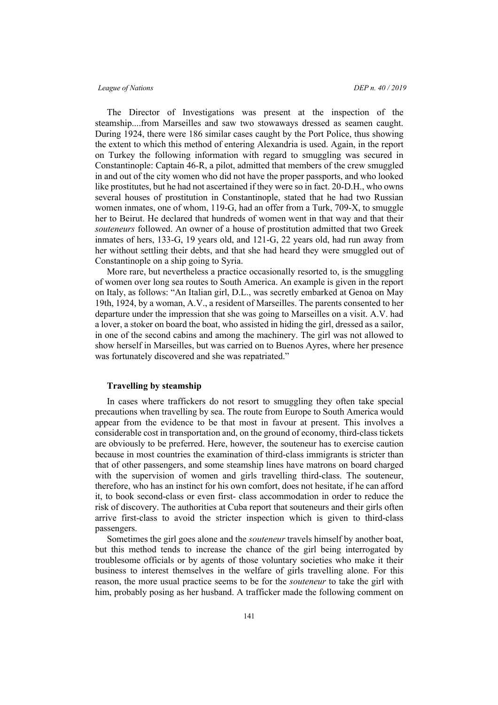The Director of Investigations was present at the inspection of the steamship....from Marseilles and saw two stowaways dressed as seamen caught. During 1924, there were 186 similar cases caught by the Port Police, thus showing the extent to which this method of entering Alexandria is used. Again, in the report on Turkey the following information with regard to smuggling was secured in Constantinople: Captain 46-R, a pilot, admitted that members of the crew smuggled in and out of the city women who did not have the proper passports, and who looked like prostitutes, but he had not ascertained if they were so in fact. 20-D.H., who owns several houses of prostitution in Constantinople, stated that he had two Russian women inmates, one of whom, 119-G, had an offer from a Turk, 709-X, to smuggle her to Beirut. He declared that hundreds of women went in that way and that their *souteneurs* followed. An owner of a house of prostitution admitted that two Greek inmates of hers, 133-G, 19 years old, and 121-G, 22 years old, had run away from her without settling their debts, and that she had heard they were smuggled out of Constantinople on a ship going to Syria.

More rare, but nevertheless a practice occasionally resorted to, is the smuggling of women over long sea routes to South America. An example is given in the report on Italy, as follows: "An Italian girl, D.L., was secretly embarked at Genoa on May 19th, 1924, by a woman, A.V., a resident of Marseilles. The parents consented to her departure under the impression that she was going to Marseilles on a visit. A.V. had a lover, a stoker on board the boat, who assisted in hiding the girl, dressed as a sailor, in one of the second cabins and among the machinery. The girl was not allowed to show herself in Marseilles, but was carried on to Buenos Ayres, where her presence was fortunately discovered and she was repatriated."

# **Travelling by steamship**

In cases where traffickers do not resort to smuggling they often take special precautions when travelling by sea. The route from Europe to South America would appear from the evidence to be that most in favour at present. This involves a considerable cost in transportation and, on the ground of economy, third-class tickets are obviously to be preferred. Here, however, the souteneur has to exercise caution because in most countries the examination of third-class immigrants is stricter than that of other passengers, and some steamship lines have matrons on board charged with the supervision of women and girls travelling third-class. The souteneur, therefore, who has an instinct for his own comfort, does not hesitate, if he can afford it, to book second-class or even first- class accommodation in order to reduce the risk of discovery. The authorities at Cuba report that souteneurs and their girls often arrive first-class to avoid the stricter inspection which is given to third-class passengers.

Sometimes the girl goes alone and the *souteneur* travels himself by another boat, but this method tends to increase the chance of the girl being interrogated by troublesome officials or by agents of those voluntary societies who make it their business to interest themselves in the welfare of girls travelling alone. For this reason, the more usual practice seems to be for the *souteneur* to take the girl with him, probably posing as her husband. A trafficker made the following comment on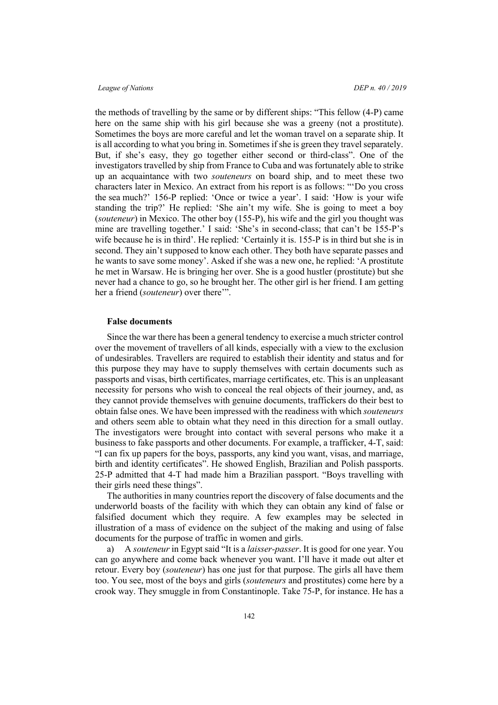the methods of travelling by the same or by different ships: "This fellow (4-P) came here on the same ship with his girl because she was a greeny (not a prostitute). Sometimes the boys are more careful and let the woman travel on a separate ship. It is all according to what you bring in. Sometimes if she is green they travel separately. But, if she's easy, they go together either second or third-class". One of the investigators travelled by ship from France to Cuba and was fortunately able to strike up an acquaintance with two *souteneurs* on board ship, and to meet these two characters later in Mexico. An extract from his report is as follows: "'Do you cross the sea much?' 156-P replied: 'Once or twice a year'. I said: 'How is your wife standing the trip?' He replied: 'She ain't my wife. She is going to meet a boy (*souteneur*) in Mexico. The other boy (155-P), his wife and the girl you thought was mine are travelling together.' I said: 'She's in second-class; that can't be 155-P's wife because he is in third'. He replied: 'Certainly it is. 155-P is in third but she is in second. They ain't supposed to know each other. They both have separate passes and he wants to save some money'. Asked if she was a new one, he replied: 'A prostitute he met in Warsaw. He is bringing her over. She is a good hustler (prostitute) but she never had a chance to go, so he brought her. The other girl is her friend. I am getting her a friend (*souteneur*) over there'".

#### **False documents**

Since the war there has been a general tendency to exercise a much stricter control over the movement of travellers of all kinds, especially with a view to the exclusion of undesirables. Travellers are required to establish their identity and status and for this purpose they may have to supply themselves with certain documents such as passports and visas, birth certificates, marriage certificates, etc. This is an unpleasant necessity for persons who wish to conceal the real objects of their journey, and, as they cannot provide themselves with genuine documents, traffickers do their best to obtain false ones. We have been impressed with the readiness with which *souteneurs* and others seem able to obtain what they need in this direction for a small outlay. The investigators were brought into contact with several persons who make it a business to fake passports and other documents. For example, a trafficker, 4-T, said: "I can fix up papers for the boys, passports, any kind you want, visas, and marriage, birth and identity certificates". He showed English, Brazilian and Polish passports. 25-P admitted that 4-T had made him a Brazilian passport. "Boys travelling with their girls need these things".

The authorities in many countries report the discovery of false documents and the underworld boasts of the facility with which they can obtain any kind of false or falsified document which they require. A few examples may be selected in illustration of a mass of evidence on the subject of the making and using of false documents for the purpose of traffic in women and girls.

a) A *souteneur* in Egypt said "It is a *laisser-passer*. It is good for one year. You can go anywhere and come back whenever you want. I'll have it made out alter et retour. Every boy (*souteneur*) has one just for that purpose. The girls all have them too. You see, most of the boys and girls (*souteneurs* and prostitutes) come here by a crook way. They smuggle in from Constantinople. Take 75-P, for instance. He has a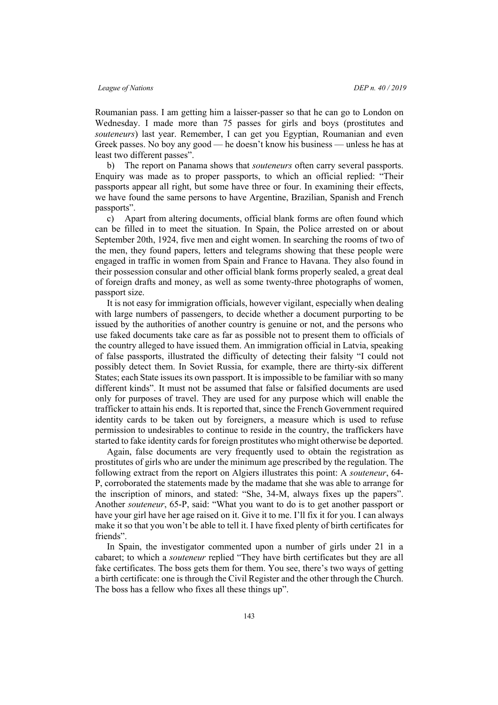Roumanian pass. I am getting him a laisser-passer so that he can go to London on Wednesday. I made more than 75 passes for girls and boys (prostitutes and *souteneurs*) last year. Remember, I can get you Egyptian, Roumanian and even Greek passes. No boy any good — he doesn't know his business — unless he has at least two different passes".

b) The report on Panama shows that *souteneurs* often carry several passports. Enquiry was made as to proper passports, to which an official replied: "Their passports appear all right, but some have three or four. In examining their effects, we have found the same persons to have Argentine, Brazilian, Spanish and French passports".

c) Apart from altering documents, official blank forms are often found which can be filled in to meet the situation. In Spain, the Police arrested on or about September 20th, 1924, five men and eight women. In searching the rooms of two of the men, they found papers, letters and telegrams showing that these people were engaged in traffic in women from Spain and France to Havana. They also found in their possession consular and other official blank forms properly sealed, a great deal of foreign drafts and money, as well as some twenty-three photographs of women, passport size.

It is not easy for immigration officials, however vigilant, especially when dealing with large numbers of passengers, to decide whether a document purporting to be issued by the authorities of another country is genuine or not, and the persons who use faked documents take care as far as possible not to present them to officials of the country alleged to have issued them. An immigration official in Latvia, speaking of false passports, illustrated the difficulty of detecting their falsity "I could not possibly detect them. In Soviet Russia, for example, there are thirty-six different States; each State issues its own passport. It is impossible to be familiar with so many different kinds". It must not be assumed that false or falsified documents are used only for purposes of travel. They are used for any purpose which will enable the trafficker to attain his ends. It is reported that, since the French Government required identity cards to be taken out by foreigners, a measure which is used to refuse permission to undesirables to continue to reside in the country, the traffickers have started to fake identity cards for foreign prostitutes who might otherwise be deported.

Again, false documents are very frequently used to obtain the registration as prostitutes of girls who are under the minimum age prescribed by the regulation. The following extract from the report on Algiers illustrates this point: A *souteneur*, 64- P, corroborated the statements made by the madame that she was able to arrange for the inscription of minors, and stated: "She, 34-M, always fixes up the papers". Another *souteneur*, 65-P, said: "What you want to do is to get another passport or have your girl have her age raised on it. Give it to me. I'll fix it for you. I can always make it so that you won't be able to tell it. I have fixed plenty of birth certificates for friends".

In Spain, the investigator commented upon a number of girls under 21 in a cabaret; to which a *souteneur* replied "They have birth certificates but they are all fake certificates. The boss gets them for them. You see, there's two ways of getting a birth certificate: one is through the Civil Register and the other through the Church. The boss has a fellow who fixes all these things up".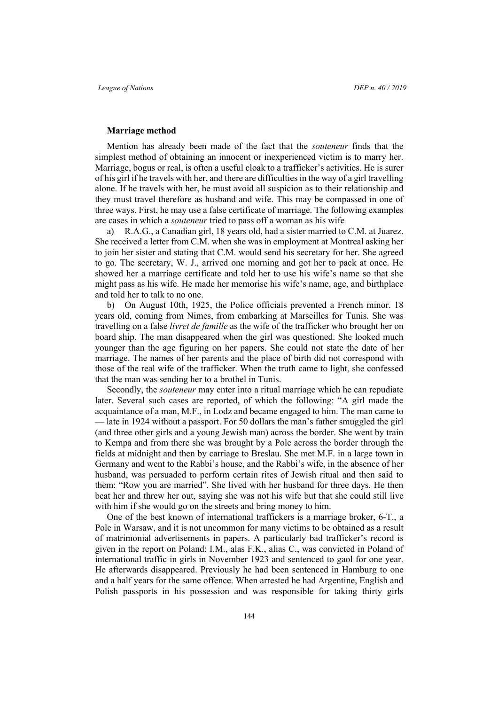#### **Marriage method**

Mention has already been made of the fact that the *souteneur* finds that the simplest method of obtaining an innocent or inexperienced victim is to marry her. Marriage, bogus or real, is often a useful cloak to a trafficker's activities. He is surer of his girl if he travels with her, and there are difficulties in the way of a girl travelling alone. If he travels with her, he must avoid all suspicion as to their relationship and they must travel therefore as husband and wife. This may be compassed in one of three ways. First, he may use a false certificate of marriage. The following examples are cases in which a *souteneur* tried to pass off a woman as his wife

a) R.A.G., a Canadian girl, 18 years old, had a sister married to C.M. at Juarez. She received a letter from C.M. when she was in employment at Montreal asking her to join her sister and stating that C.M. would send his secretary for her. She agreed to go. The secretary, W. J., arrived one morning and got her to pack at once. He showed her a marriage certificate and told her to use his wife's name so that she might pass as his wife. He made her memorise his wife's name, age, and birthplace and told her to talk to no one.

b) On August 10th, 1925, the Police officials prevented a French minor. 18 years old, coming from Nimes, from embarking at Marseilles for Tunis. She was travelling on a false *livret de famille* as the wife of the trafficker who brought her on board ship. The man disappeared when the girl was questioned. She looked much younger than the age figuring on her papers. She could not state the date of her marriage. The names of her parents and the place of birth did not correspond with those of the real wife of the trafficker. When the truth came to light, she confessed that the man was sending her to a brothel in Tunis.

Secondly, the *souteneur* may enter into a ritual marriage which he can repudiate later. Several such cases are reported, of which the following: "A girl made the acquaintance of a man, M.F., in Lodz and became engaged to him. The man came to — late in 1924 without a passport. For 50 dollars the man's father smuggled the girl (and three other girls and a young Jewish man) across the border. She went by train to Kempa and from there she was brought by a Pole across the border through the fields at midnight and then by carriage to Breslau. She met M.F. in a large town in Germany and went to the Rabbi's house, and the Rabbi's wife, in the absence of her husband, was persuaded to perform certain rites of Jewish ritual and then said to them: "Row you are married". She lived with her husband for three days. He then beat her and threw her out, saying she was not his wife but that she could still live with him if she would go on the streets and bring money to him.

One of the best known of international traffickers is a marriage broker, 6-T., a Pole in Warsaw, and it is not uncommon for many victims to be obtained as a result of matrimonial advertisements in papers. A particularly bad trafficker's record is given in the report on Poland: I.M., alas F.K., alias C., was convicted in Poland of international traffic in girls in November 1923 and sentenced to gaol for one year. He afterwards disappeared. Previously he had been sentenced in Hamburg to one and a half years for the same offence. When arrested he had Argentine, English and Polish passports in his possession and was responsible for taking thirty girls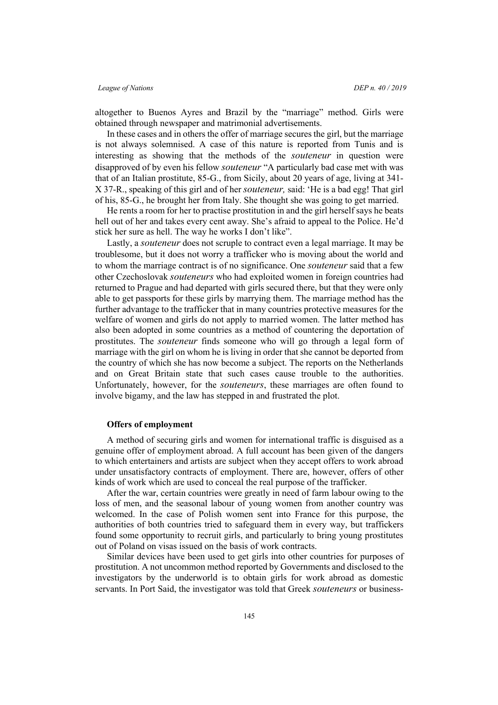altogether to Buenos Ayres and Brazil by the "marriage" method. Girls were obtained through newspaper and matrimonial advertisements.

In these cases and in others the offer of marriage secures the girl, but the marriage is not always solemnised. A case of this nature is reported from Tunis and is interesting as showing that the methods of the *souteneur* in question were disapproved of by even his fellow *souteneur* "A particularly bad case met with was that of an Italian prostitute, 85-G., from Sicily, about 20 years of age, living at 341- X 37-R., speaking of this girl and of her *souteneur,* said: 'He is a bad egg! That girl of his, 85-G., he brought her from Italy. She thought she was going to get married.

He rents a room for her to practise prostitution in and the girl herself says he beats hell out of her and takes every cent away. She's afraid to appeal to the Police. He'd stick her sure as hell. The way he works I don't like".

Lastly, a *souteneur* does not scruple to contract even a legal marriage. It may be troublesome, but it does not worry a trafficker who is moving about the world and to whom the marriage contract is of no significance. One *souteneur* said that a few other Czechoslovak *souteneurs* who had exploited women in foreign countries had returned to Prague and had departed with girls secured there, but that they were only able to get passports for these girls by marrying them. The marriage method has the further advantage to the trafficker that in many countries protective measures for the welfare of women and girls do not apply to married women. The latter method has also been adopted in some countries as a method of countering the deportation of prostitutes. The *souteneur* finds someone who will go through a legal form of marriage with the girl on whom he is living in order that she cannot be deported from the country of which she has now become a subject. The reports on the Netherlands and on Great Britain state that such cases cause trouble to the authorities. Unfortunately, however, for the *souteneurs*, these marriages are often found to involve bigamy, and the law has stepped in and frustrated the plot.

### **Offers of employment**

A method of securing girls and women for international traffic is disguised as a genuine offer of employment abroad. A full account has been given of the dangers to which entertainers and artists are subject when they accept offers to work abroad under unsatisfactory contracts of employment. There are, however, offers of other kinds of work which are used to conceal the real purpose of the trafficker.

After the war, certain countries were greatly in need of farm labour owing to the loss of men, and the seasonal labour of young women from another country was welcomed. In the case of Polish women sent into France for this purpose, the authorities of both countries tried to safeguard them in every way, but traffickers found some opportunity to recruit girls, and particularly to bring young prostitutes out of Poland on visas issued on the basis of work contracts.

Similar devices have been used to get girls into other countries for purposes of prostitution. A not uncommon method reported by Governments and disclosed to the investigators by the underworld is to obtain girls for work abroad as domestic servants. In Port Said, the investigator was told that Greek *souteneurs* or business-